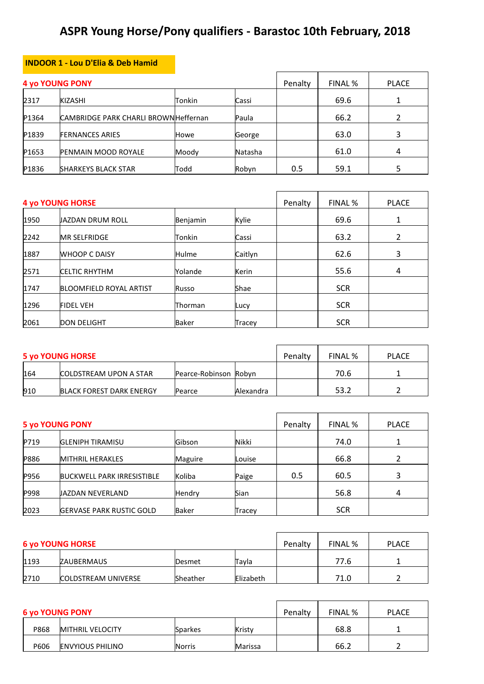## **ASPR Young Horse/Pony qualifiers - Barastoc 10th February, 2018**

## **INDOOR 1 - Lou D'Elia & Deb Hamid**

|       | <b>4 yo YOUNG PONY</b>                       |        |         | Penalty | FINAL % | PLACE |
|-------|----------------------------------------------|--------|---------|---------|---------|-------|
| 2317  | <b>KIZASHI</b>                               | Tonkin | Cassi   |         | 69.6    |       |
| P1364 | <b>CAMBRIDGE PARK CHARLI BROWN Heffernan</b> |        | Paula   |         | 66.2    |       |
| P1839 | <b>FERNANCES ARIES</b>                       | Howe   | George  |         | 63.0    | 3     |
| P1653 | <b>PENMAIN MOOD ROYALE</b>                   | Moody  | Natasha |         | 61.0    | 4     |
| P1836 | <b>SHARKEYS BLACK STAR</b>                   | Todd   | Robyn   | 0.5     | 59.1    |       |

|      | <b>4 yo YOUNG HORSE</b>        |              |         | Penalty | FINAL %    | <b>PLACE</b> |
|------|--------------------------------|--------------|---------|---------|------------|--------------|
| 1950 | JAZDAN DRUM ROLL               | Benjamin     | Kylie   |         | 69.6       | 1            |
| 2242 | <b>MR SELFRIDGE</b>            | Tonkin       | Cassi   |         | 63.2       | 2            |
| 1887 | <b>WHOOP C DAISY</b>           | <b>Hulme</b> | Caitlyn |         | 62.6       | 3            |
| 2571 | <b>CELTIC RHYTHM</b>           | Yolande      | Kerin   |         | 55.6       | 4            |
| 1747 | <b>BLOOMFIELD ROYAL ARTIST</b> | Russo        | Shae    |         | <b>SCR</b> |              |
| 1296 | <b>FIDEL VEH</b>               | Thorman      | Lucy    |         | <b>SCR</b> |              |
| 2061 | <b>DON DELIGHT</b>             | <b>Baker</b> | Tracey  |         | <b>SCR</b> |              |

|     | <b>5 yo YOUNG HORSE</b>         |                       |           | Penalty | FINAL % | <b>PLACE</b> |
|-----|---------------------------------|-----------------------|-----------|---------|---------|--------------|
| 164 | <b>COLDSTREAM UPON A STAR</b>   | Pearce-Robinson Robyn |           |         | 70.6    |              |
| 910 | <b>BLACK FOREST DARK ENERGY</b> | Pearce                | Alexandra |         | 53.2    |              |

|      | <b>5 yo YOUNG PONY</b>            |               |        | Penalty | FINAL %    | <b>PLACE</b> |
|------|-----------------------------------|---------------|--------|---------|------------|--------------|
| P719 | <b>GLENIPH TIRAMISU</b>           | <b>Gibson</b> | Nikki  |         | 74.0       |              |
| P886 | <b>MITHRIL HERAKLES</b>           | Maguire       | Louise |         | 66.8       |              |
| P956 | <b>BUCKWELL PARK IRRESISTIBLE</b> | Koliba        | Paige  | 0.5     | 60.5       | ς            |
| P998 | JAZDAN NEVERLAND                  | Hendry        | Sian   |         | 56.8       | 4            |
| 2023 | <b>GERVASE PARK RUSTIC GOLD</b>   | <b>Baker</b>  | Tracey |         | <b>SCR</b> |              |

|      | <b>6 yo YOUNG HORSE</b>    |          |           | Penalty | FINAL % | <b>PLACE</b> |
|------|----------------------------|----------|-----------|---------|---------|--------------|
| 1193 | ZAUBERMAUS                 | Desmet   | Tayla     |         | 77.6    |              |
| 2710 | <b>COLDSTREAM UNIVERSE</b> | Sheather | Elizabeth |         | 71.0    |              |

|      | <b>6 yo YOUNG PONY</b>  |               |         | Penalty | FINAL % | <b>PLACE</b> |
|------|-------------------------|---------------|---------|---------|---------|--------------|
| P868 | <b>MITHRIL VELOCITY</b> | Sparkes       | Kristv  |         | 68.8    |              |
| P606 | <b>ENVYIOUS PHILINO</b> | <b>Norris</b> | Marissa |         | 66.2    |              |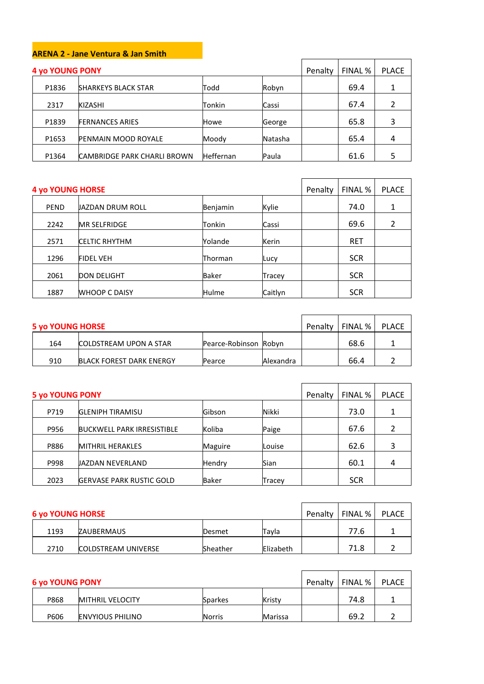## **ARENA 2 - Jane Ventura & Jan Smith**

| <b>4 yo YOUNG PONY</b> |                                    |                  |         | Penalty | FINAL % | <b>PLACE</b> |
|------------------------|------------------------------------|------------------|---------|---------|---------|--------------|
| P1836                  | <b>SHARKEYS BLACK STAR</b>         | Todd             | Robyn   |         | 69.4    |              |
| 2317                   | <b>KIZASHI</b>                     | Tonkin           | Cassi   |         | 67.4    |              |
| P1839                  | <b>FERNANCES ARIES</b>             | Howe             | George  |         | 65.8    | 3            |
| P1653                  | <b>PENMAIN MOOD ROYALE</b>         | Moody            | Natasha |         | 65.4    |              |
| P1364                  | <b>CAMBRIDGE PARK CHARLI BROWN</b> | <b>Heffernan</b> | Paula   |         | 61.6    |              |

| <b>4 yo YOUNG HORSE</b> |                      |          |         | Penalty | FINAL %    | <b>PLACE</b> |
|-------------------------|----------------------|----------|---------|---------|------------|--------------|
| PEND                    | JAZDAN DRUM ROLL     | Benjamin | Kylie   |         | 74.0       |              |
| 2242                    | <b>MR SELFRIDGE</b>  | Tonkin   | Cassi   |         | 69.6       |              |
| 2571                    | <b>CELTIC RHYTHM</b> | Yolande  | Kerin   |         | <b>RET</b> |              |
| 1296                    | <b>FIDEL VEH</b>     | Thorman  | Lucy    |         | <b>SCR</b> |              |
| 2061                    | <b>DON DELIGHT</b>   | Baker    | Tracey  |         | <b>SCR</b> |              |
| 1887                    | <b>WHOOP C DAISY</b> | Hulme    | Caitlyn |         | <b>SCR</b> |              |

| <b>5 yo YOUNG HORSE</b> |                                 |                       |           | Penalty | FINAL % | PLACE |
|-------------------------|---------------------------------|-----------------------|-----------|---------|---------|-------|
| 164                     | <b>COLDSTREAM UPON A STAR</b>   | Pearce-Robinson Robyn |           |         | 68.6    |       |
| 910                     | <b>BLACK FOREST DARK ENERGY</b> | Pearce                | Alexandra |         | 66.4    |       |

| <b>5 yo YOUNG PONY</b> |                                   |                |        | Penalty | FINAL %    | <b>PLACE</b> |
|------------------------|-----------------------------------|----------------|--------|---------|------------|--------------|
| P719                   | <b>GLENIPH TIRAMISU</b>           | Gibson         | Nikki  |         | 73.0       | 1            |
| P956                   | <b>BUCKWELL PARK IRRESISTIBLE</b> | Koliba         | Paige  |         | 67.6       |              |
| P886                   | <b>MITHRIL HERAKLES</b>           | <b>Maguire</b> | Louise |         | 62.6       | 3            |
| P998                   | JAZDAN NEVERLAND                  | Hendry         | Sian   |         | 60.1       | 4            |
| 2023                   | <b>GERVASE PARK RUSTIC GOLD</b>   | Baker          | Tracey |         | <b>SCR</b> |              |

| <b>6 yo YOUNG HORSE</b> |                            |                 |           | Penalty | FINAL % | <b>PLACE</b> |
|-------------------------|----------------------------|-----------------|-----------|---------|---------|--------------|
| 1193                    | ZAUBERMAUS                 | <b>Desmet</b>   | Tavla     |         | 77.6    |              |
| 2710                    | <b>COLDSTREAM UNIVERSE</b> | <b>Sheather</b> | Elizabeth |         | 71.8    |              |

| <b>6 yo YOUNG PONY</b> |                         |               |         | Penalty | FINAL % | PLACE |
|------------------------|-------------------------|---------------|---------|---------|---------|-------|
| P868                   | <b>MITHRIL VELOCITY</b> | Sparkes       | Kristy  |         | 74.8    |       |
| P606                   | <b>ENVYIOUS PHILINO</b> | <b>Norris</b> | Marissa |         | 69.2    |       |